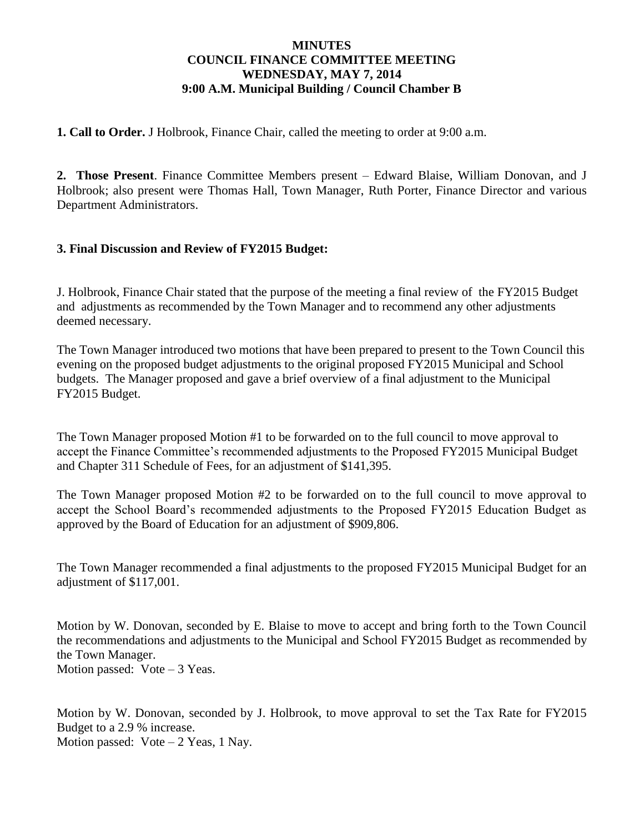## **MINUTES COUNCIL FINANCE COMMITTEE MEETING WEDNESDAY, MAY 7, 2014 9:00 A.M. Municipal Building / Council Chamber B**

**1. Call to Order.** J Holbrook, Finance Chair, called the meeting to order at 9:00 a.m.

**2. Those Present**. Finance Committee Members present – Edward Blaise, William Donovan, and J Holbrook; also present were Thomas Hall, Town Manager, Ruth Porter, Finance Director and various Department Administrators.

## **3. Final Discussion and Review of FY2015 Budget:**

J. Holbrook, Finance Chair stated that the purpose of the meeting a final review of the FY2015 Budget and adjustments as recommended by the Town Manager and to recommend any other adjustments deemed necessary.

The Town Manager introduced two motions that have been prepared to present to the Town Council this evening on the proposed budget adjustments to the original proposed FY2015 Municipal and School budgets. The Manager proposed and gave a brief overview of a final adjustment to the Municipal FY2015 Budget.

The Town Manager proposed Motion #1 to be forwarded on to the full council to move approval to accept the Finance Committee's recommended adjustments to the Proposed FY2015 Municipal Budget and Chapter 311 Schedule of Fees, for an adjustment of \$141,395.

The Town Manager proposed Motion #2 to be forwarded on to the full council to move approval to accept the School Board's recommended adjustments to the Proposed FY2015 Education Budget as approved by the Board of Education for an adjustment of \$909,806.

The Town Manager recommended a final adjustments to the proposed FY2015 Municipal Budget for an adjustment of \$117,001.

Motion by W. Donovan, seconded by E. Blaise to move to accept and bring forth to the Town Council the recommendations and adjustments to the Municipal and School FY2015 Budget as recommended by the Town Manager. Motion passed: Vote – 3 Yeas.

Motion by W. Donovan, seconded by J. Holbrook, to move approval to set the Tax Rate for FY2015 Budget to a 2.9 % increase. Motion passed:  $Vote - 2 Yeas, 1 Nav.$